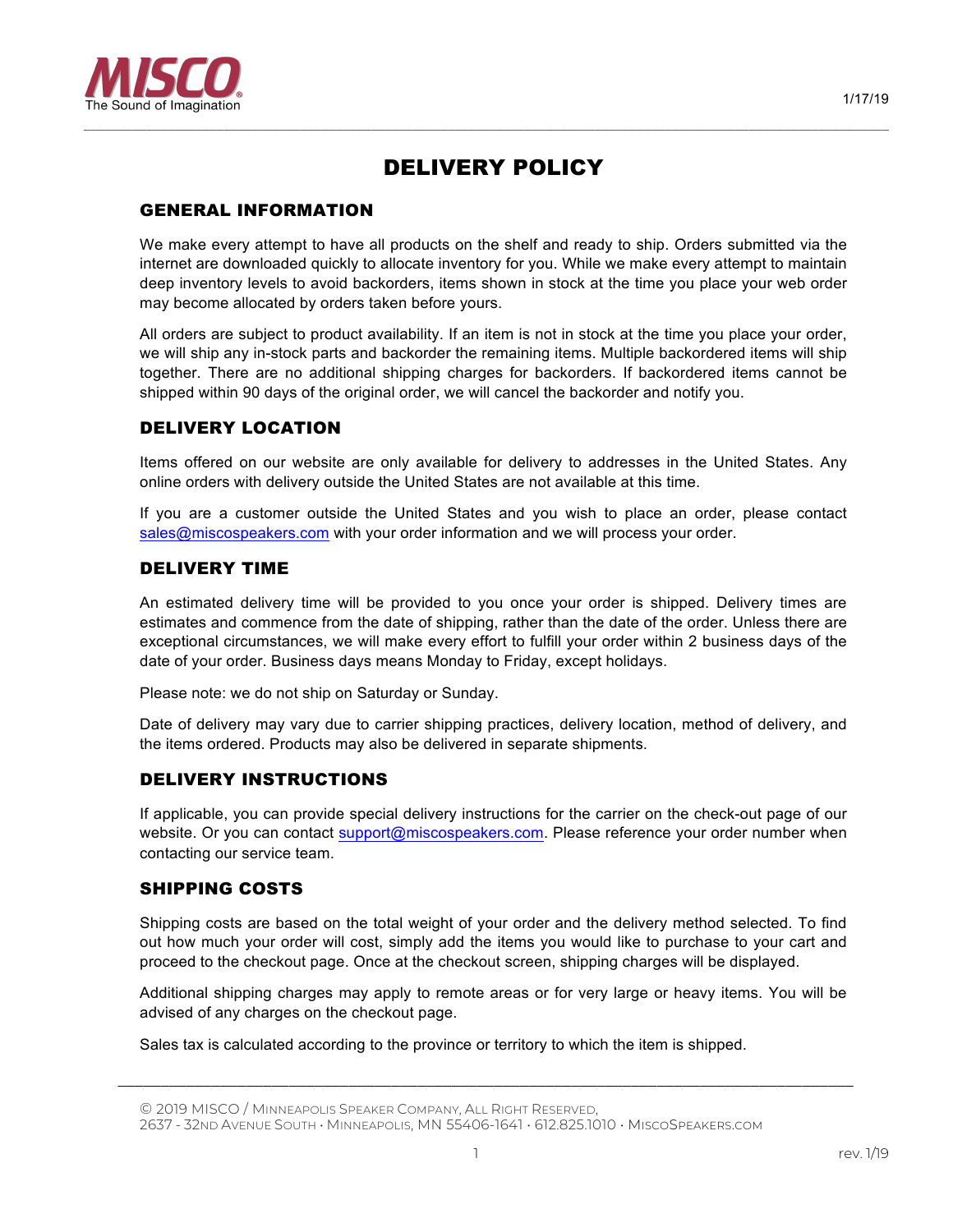

# DELIVERY POLICY

*–––––––––––––––––––––––––––––––––––––––––––––––––––––––––––––––––––––––––––––––––––––––––––––––––––––––––––––––––––*

## GENERAL INFORMATION

We make every attempt to have all products on the shelf and ready to ship. Orders submitted via the internet are downloaded quickly to allocate inventory for you. While we make every attempt to maintain deep inventory levels to avoid backorders, items shown in stock at the time you place your web order may become allocated by orders taken before yours.

All orders are subject to product availability. If an item is not in stock at the time you place your order, we will ship any in-stock parts and backorder the remaining items. Multiple backordered items will ship together. There are no additional shipping charges for backorders. If backordered items cannot be shipped within 90 days of the original order, we will cancel the backorder and notify you.

## DELIVERY LOCATION

Items offered on our website are only available for delivery to addresses in the United States. Any online orders with delivery outside the United States are not available at this time.

If you are a customer outside the United States and you wish to place an order, please contact sales@miscospeakers.com with your order information and we will process your order.

#### DELIVERY TIME

An estimated delivery time will be provided to you once your order is shipped. Delivery times are estimates and commence from the date of shipping, rather than the date of the order. Unless there are exceptional circumstances, we will make every effort to fulfill your order within 2 business days of the date of your order. Business days means Monday to Friday, except holidays.

Please note: we do not ship on Saturday or Sunday.

Date of delivery may vary due to carrier shipping practices, delivery location, method of delivery, and the items ordered. Products may also be delivered in separate shipments.

## DELIVERY INSTRUCTIONS

If applicable, you can provide special delivery instructions for the carrier on the check-out page of our website. Or you can contact support@miscospeakers.com. Please reference your order number when contacting our service team.

## SHIPPING COSTS

Shipping costs are based on the total weight of your order and the delivery method selected. To find out how much your order will cost, simply add the items you would like to purchase to your cart and proceed to the checkout page. Once at the checkout screen, shipping charges will be displayed.

Additional shipping charges may apply to remote areas or for very large or heavy items. You will be advised of any charges on the checkout page.

*\_\_\_\_\_\_\_\_\_\_\_\_\_\_\_\_\_\_\_\_\_\_\_\_\_\_\_\_\_\_\_\_\_\_\_\_\_\_\_\_\_\_\_\_\_\_\_\_\_\_\_\_\_\_\_\_\_\_\_\_\_\_\_\_\_\_\_\_\_\_\_\_\_\_\_\_\_\_\_\_\_\_\_\_\_\_*

Sales tax is calculated according to the province or territory to which the item is shipped.

<sup>©</sup> 2019 MISCO / MINNEAPOLIS SPEAKER COMPANY, ALL RIGHT RESERVED,